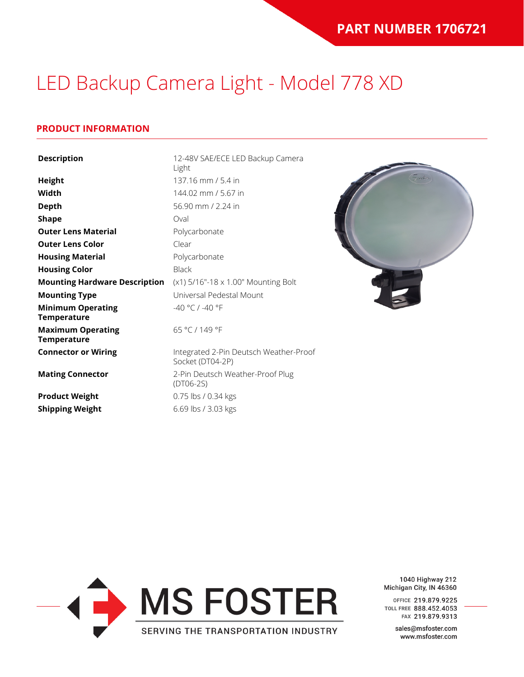### **PRODUCT INFORMATION**

| <b>Description</b>                             | 12-48V SAE/ECE LED Backup Camera<br>Light                  |
|------------------------------------------------|------------------------------------------------------------|
| <b>Height</b>                                  | 137.16 mm / 5.4 in                                         |
| Width                                          | 144.02 mm / 5.67 in                                        |
| <b>Depth</b>                                   | 56.90 mm / 2.24 in                                         |
| <b>Shape</b>                                   | Oval                                                       |
| <b>Outer Lens Material</b>                     | Polycarbonate                                              |
| <b>Outer Lens Color</b>                        | Clear                                                      |
| <b>Housing Material</b>                        | Polycarbonate                                              |
| <b>Housing Color</b>                           | <b>Black</b>                                               |
| <b>Mounting Hardware Description</b>           | (x1) 5/16"-18 x 1.00" Mounting Bolt                        |
| <b>Mounting Type</b>                           | Universal Pedestal Mount                                   |
| <b>Minimum Operating</b><br><b>Temperature</b> | -40 °C / -40 °F                                            |
| <b>Maximum Operating</b><br><b>Temperature</b> | 65 °C / 149 °F                                             |
| <b>Connector or Wiring</b>                     | Integrated 2-Pin Deutsch Weather-Proof<br>Socket (DT04-2P) |
| <b>Mating Connector</b>                        | 2-Pin Deutsch Weather-Proof Plug<br>$(DTO6-2S)$            |
| <b>Product Weight</b>                          | 0.75 lbs / 0.34 kgs                                        |
| <b>Shipping Weight</b>                         | 6.69 lbs / 3.03 kgs                                        |



1040 Highway 212 Michigan City, IN 46360

OFFICE 219.879.9225 TOLL FREE 888.452.4053 FAX 219.879.9313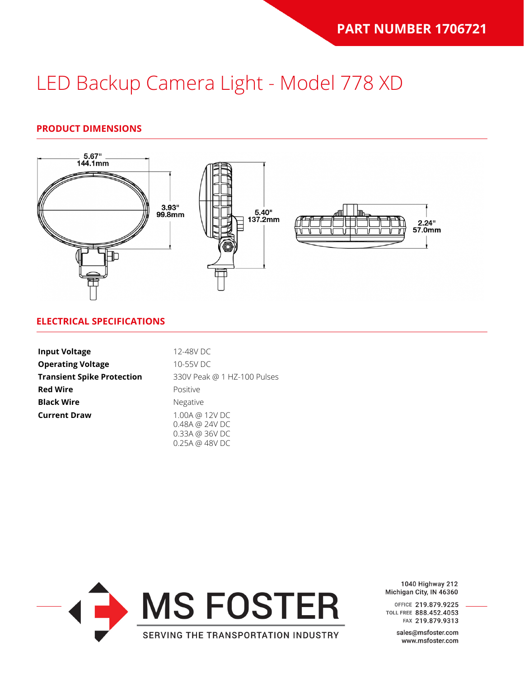### **PRODUCT DIMENSIONS**



#### **ELECTRICAL SPECIFICATIONS**

| <b>Input Voltage</b>              | 12-48V DC                                          |
|-----------------------------------|----------------------------------------------------|
| <b>Operating Voltage</b>          | 10-55V DC                                          |
| <b>Transient Spike Protection</b> | 330V Peak @ 1 HZ-100 Pulses                        |
| <b>Red Wire</b>                   | Positive                                           |
| <b>Black Wire</b>                 | Negative                                           |
| <b>Current Draw</b>               | 1.00A @ 12V DC<br>0.48A @ 24V DC<br>0.33A @ 36V DC |



1040 Highway 212 Michigan City, IN 46360

OFFICE 219.879.9225 TOLL FREE 888.452.4053 FAX 219.879.9313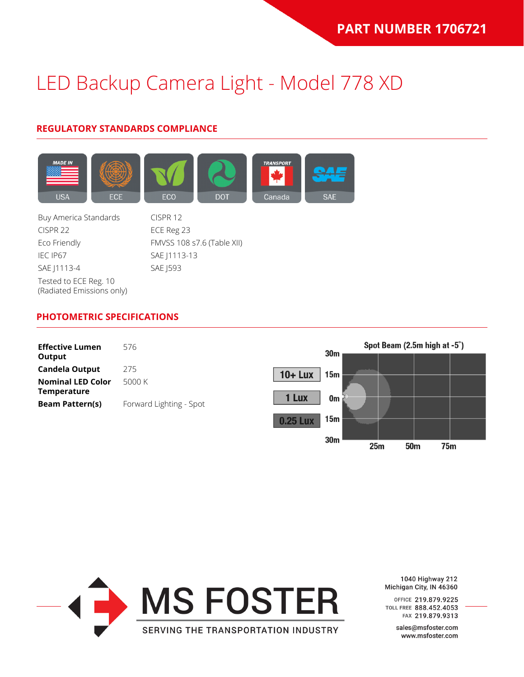### **REGULATORY STANDARDS COMPLIANCE**



Buy America Standards CISPR 12 CISPR 22 ECE Reg 23 Eco Friendly FMVSS 108 s7.6 (Table XII) IEC IP67 SAE | 1113-13 SAE J1113-4 SAE J593 Tested to ECE Reg. 10 (Radiated Emissions only)

#### **PHOTOMETRIC SPECIFICATIONS**





1040 Highway 212 Michigan City, IN 46360

OFFICE 219.879.9225 TOLL FREE 888.452.4053 FAX 219.879.9313